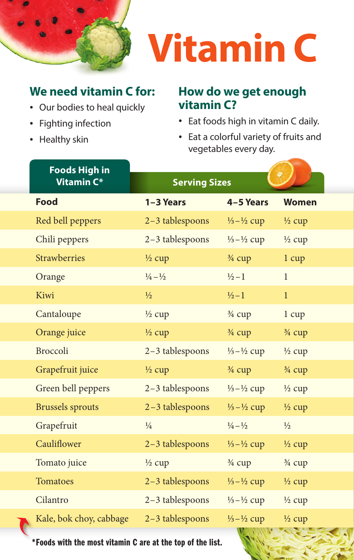

# **Vitamin C**

## **We need vitamin C for:**

- Our bodies to heal quickly
- Fighting infection
- Healthy skin

### **How do we get enough vitamin C?**

- Eat foods high in vitamin C daily.
- Eat a colorful variety of fruits and vegetables every day.

| <b>Foods High in</b>    |                             |                                 |                   |
|-------------------------|-----------------------------|---------------------------------|-------------------|
| Vitamin C*              | <b>Serving Sizes</b>        |                                 |                   |
| <b>Food</b>             | 1-3 Years                   | 4-5 Years                       | <b>Women</b>      |
| Red bell peppers        | 2-3 tablespoons             | $\frac{1}{3} - \frac{1}{2}$ cup | $\frac{1}{2}$ cup |
| Chili peppers           | 2-3 tablespoons             | $\frac{1}{3} - \frac{1}{2}$ cup | $\frac{1}{2}$ cup |
| <b>Strawberries</b>     | $\frac{1}{2}$ cup           | $\frac{3}{4}$ cup               | 1 cup             |
| Orange                  | $\frac{1}{4} - \frac{1}{2}$ | $\frac{1}{2} - 1$               | $\mathbf{1}$      |
| Kiwi                    | $\frac{1}{2}$               | $\frac{1}{2} - 1$               | $\mathbf{1}$      |
| Cantaloupe              | $\frac{1}{2}$ cup           | $\frac{3}{4}$ cup               | 1 cup             |
| Orange juice            | $\frac{1}{2}$ cup           | $\frac{3}{4}$ cup               | $\frac{3}{4}$ cup |
| Broccoli                | 2-3 tablespoons             | $\frac{1}{3} - \frac{1}{2}$ cup | $\frac{1}{2}$ cup |
| Grapefruit juice        | $\frac{1}{2}$ cup           | $\frac{3}{4}$ cup               | $\frac{3}{4}$ cup |
| Green bell peppers      | 2-3 tablespoons             | $\frac{1}{3} - \frac{1}{2}$ cup | $\frac{1}{2}$ cup |
| <b>Brussels</b> sprouts | 2-3 tablespoons             | $\frac{1}{3} - \frac{1}{2}$ cup | $\frac{1}{2}$ cup |
| Grapefruit              | $\frac{1}{4}$               | $\frac{1}{4} - \frac{1}{2}$     | $\frac{1}{2}$     |
| Cauliflower             | 2-3 tablespoons             | $\frac{1}{3} - \frac{1}{2}$ cup | $\frac{1}{2}$ cup |
| Tomato juice            | $\frac{1}{2}$ cup           | $\frac{3}{4}$ cup               | $\frac{3}{4}$ cup |
| <b>Tomatoes</b>         | 2-3 tablespoons             | $\frac{1}{3} - \frac{1}{2}$ cup | $\frac{1}{2}$ cup |
| Cilantro                | 2-3 tablespoons             | $\frac{1}{3} - \frac{1}{2}$ cup | $\frac{1}{2}$ cup |
| Kale, bok choy, cabbage | $2-3$ tablespoons           | $\frac{1}{3} - \frac{1}{2}$ cup | $\frac{1}{2}$ cup |

\*Foods with the most vitamin C are at the top of the list.